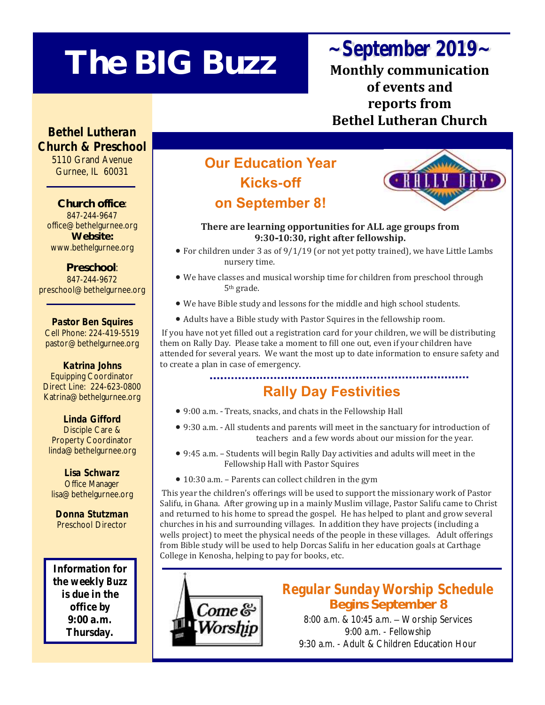# **The BIG Buzz**

# *~September 2019~*

**Monthly communication of events and reports from Bethel Lutheran Church**

*Bethel Lutheran Church & Preschool* 5110 Grand Avenue Gurnee, IL 60031

**Church office**: 847-244-9647 office@bethelgurnee.org **Website:**  www.bethelgurnee.org

**Preschool**: 847-244-9672 preschool@bethelgurnee.org

*Pastor Ben Squires* Cell Phone: 224-419-5519 pastor@bethelgurnee.org

*Katrina Johns* Equipping Coordinator Direct Line: 224-623-0800 Katrina@bethelgurnee.org

*Linda Gifford* Disciple Care & Property Coordinator linda@bethelgurnee.org

*Lisa Schwarz* Office Manager lisa@bethelgurnee.org

*Donna Stutzman* Preschool Director

Information for the weekly *Buzz* is due in the office by 9:00 a.m. Thursday.

# **Our Education Year Kicks-off on September 8!**



#### **There are learning opportunities for ALL age groups from 9:30-10:30, right after fellowship.**

- For children under 3 as of 9/1/19 (or not yet potty trained), we have Little Lambs nursery time.
- We have classes and musical worship time for children from preschool through 5th grade.
- We have Bible study and lessons for the middle and high school students.
- Adults have a Bible study with Pastor Squires in the fellowship room.

If you have not yet filled out a registration card for your children, we will be distributing them on Rally Day. Please take a moment to fill one out, even if your children have attended for several years. We want the most up to date information to ensure safety and to create a plan in case of emergency.

## **Rally Day Festivities**

- 9:00 a.m. Treats, snacks, and chats in the Fellowship Hall
- 9:30 a.m. All students and parents will meet in the sanctuary for introduction of teachers and a few words about our mission for the year.
- 9:45 a.m. Students will begin Rally Day activities and adults will meet in the Fellowship Hall with Pastor Squires
- 10:30 a.m. Parents can collect children in the gym

This year the children's offerings will be used to support the missionary work of Pastor Salifu, in Ghana. After growing up in a mainly Muslim village, Pastor Salifu came to Christ and returned to his home to spread the gospel. He has helped to plant and grow several churches in his and surrounding villages. In addition they have projects (including a wells project) to meet the physical needs of the people in these villages. Adult offerings from Bible study will be used to help Dorcas Salifu in her education goals at Carthage College in Kenosha, helping to pay for books, etc.



*Regular Sunday Worship Schedule* **Begins September 8**

8:00 a.m. & 10:45 a.m. – Worship Services 9:00 a.m. - Fellowship 9:30 a.m. - Adult & Children Education Hour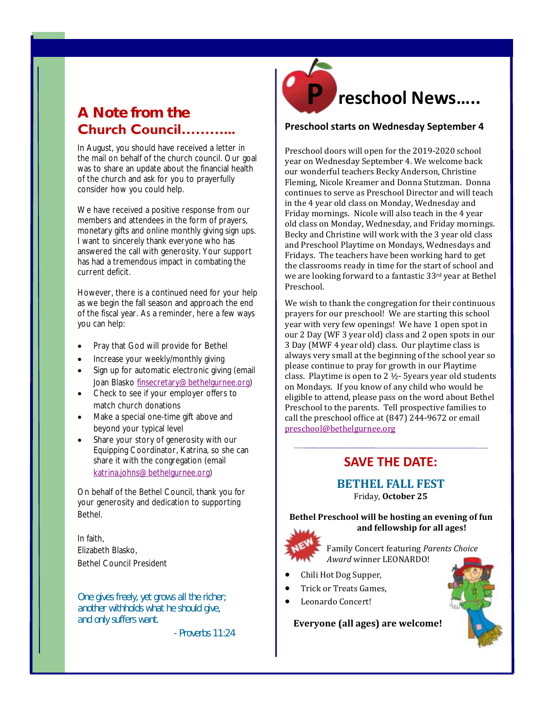### **A Note from the Church Council………...**

In August, you should have received a letter in the mail on behalf of the church council. Our goal was to share an update about the financial health of the church and ask for you to prayerfully consider how you could help.

We have received a positive response from our members and attendees in the form of prayers, monetary gifts and online monthly giving sign ups. I want to sincerely thank everyone who has answered the call with generosity. Your support has had a tremendous impact in combating the current deficit.

However, there is a continued need for your help as we begin the fall season and approach the end of the fiscal year. As a reminder, here a few ways you can help:

- Pray that God will provide for Bethel
- Increase your weekly/monthly giving
- Sign up for automatic electronic giving (email Joan Blasko [finsecretary@bethelgurnee.org\)](mailto:finsecretary@bethelgurnee.org)
- Check to see if your employer offers to match church donations
- Make a special one-time gift above and beyond your typical level
- Share your story of generosity with our Equipping Coordinator, Katrina, so she can share it with the congregation (email [katrina.johns@bethelgurnee.org\)](mailto:katrina.johns@bethelgurnee.org)

On behalf of the Bethel Council, thank you for your generosity and dedication to supporting Bethel.

In faith, Elizabeth Blasko, Bethel Council President

*One gives freely, yet grows all the richer; another withholds what he should give, and only suffers want.* 

*- Proverbs 11:24*



#### **Preschool starts on Wednesday September 4**

old class on Monday, Wednesday, and Friday mornings. Preschool doors will open for the 2019-2020 school year on Wednesday September 4. We welcome back our wonderful teachers Becky Anderson, Christine Fleming, Nicole Kreamer and Donna Stutzman. Donna continues to serve as Preschool Director and will teach in the 4 year old class on Monday, Wednesday and Friday mornings. Nicole will also teach in the 4 year Becky and Christine will work with the 3 year old class and Preschool Playtime on Mondays, Wednesdays and Fridays. The teachers have been working hard to get the classrooms ready in time for the start of school and we are looking forward to a fantastic 33rd year at Bethel Preschool.

We wish to thank the congregation for their continuous prayers for our preschool! We are starting this school year with very few openings! We have 1 open spot in our 2 Day (WF 3 year old) class and 2 open spots in our 3 Day (MWF 4 year old) class. Our playtime class is always very small at the beginning of the school year so please continue to pray for growth in our Playtime class. Playtime is open to 2 ½- 5years year old students on Mondays. If you know of any child who would be eligible to attend, please pass on the word about Bethel Preschool to the parents. Tell prospective families to call the preschool office at (847) 244-9672 or email [preschool@bethelgurnee.org](mailto:preschool@bethelgurnee.org)

#### **SAVE THE DATE:**

#### **BETHEL FALL FEST** Friday, **October 25**

**Bethel Preschool will be hosting an evening of fun and fellowship for all ages!** 



Family Concert featuring *Parents Choice Award* winner LEONARDO!

- Chili Hot Dog Supper,
- Trick or Treats Games,
- Leonardo Concert!

#### **Everyone (all ages) are welcome!**

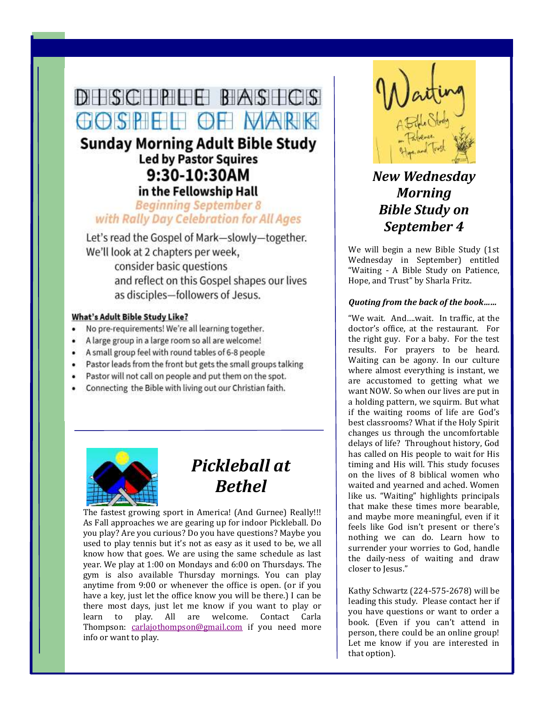# DHSCHPIHE BASHCS GOSPEE OF VARK

### **Sunday Morning Adult Bible Study Led by Pastor Squires** 9:30-10:30AM in the Fellowship Hall

#### **Beginning September 8** with Rally Day Celebration for All Ages

Let's read the Gospel of Mark-slowly-together. We'll look at 2 chapters per week, consider basic questions and reflect on this Gospel shapes our lives as disciples-followers of Jesus.

#### **What's Adult Bible Study Like?**

- No pre-requirements! We're all learning together.  $\bullet$
- A large group in a large room so all are welcome!
- A small group feel with round tables of 6-8 people
- Pastor leads from the front but gets the small groups talking
- Pastor will not call on people and put them on the spot.
- Connecting the Bible with living out our Christian faith.



# *Pickleball at Bethel*

The fastest growing sport in America! (And Gurnee) Really!!! As Fall approaches we are gearing up for indoor Pickleball. Do you play? Are you curious? Do you have questions? Maybe you used to play tennis but it's not as easy as it used to be, we all know how that goes. We are using the same schedule as last year. We play at 1:00 on Mondays and 6:00 on Thursdays. The gym is also available Thursday mornings. You can play anytime from 9:00 or whenever the office is open. (or if you have a key, just let the office know you will be there.) I can be there most days, just let me know if you want to play or learn to play. All are welcome. Contact Carla Thompson: [carlajothompson@gmail.com](mailto:carlajothompson@gmail.com) if you need more info or want to play.



### *New Wednesday Morning Bible Study on September 4*

We will begin a new Bible Study (1st Wednesday in September) entitled "Waiting - A Bible Study on Patience, Hope, and Trust" by Sharla Fritz.

#### *Quoting from the back of the book……*

"We wait. And….wait. In traffic, at the doctor's office, at the restaurant. For the right guy. For a baby. For the test results. For prayers to be heard. Waiting can be agony. In our culture where almost everything is instant, we are accustomed to getting what we want NOW. So when our lives are put in a holding pattern, we squirm. But what if the waiting rooms of life are God's best classrooms? What if the Holy Spirit changes us through the uncomfortable delays of life? Throughout history, God has called on His people to wait for His timing and His will. This study focuses on the lives of 8 biblical women who waited and yearned and ached. Women like us. "Waiting" highlights principals that make these times more bearable, and maybe more meaningful, even if it feels like God isn't present or there's nothing we can do. Learn how to surrender your worries to God, handle the daily-ness of waiting and draw closer to Jesus."

Kathy Schwartz (224-575-2678) will be leading this study. Please contact her if you have questions or want to order a book. (Even if you can't attend in person, there could be an online group! Let me know if you are interested in that option).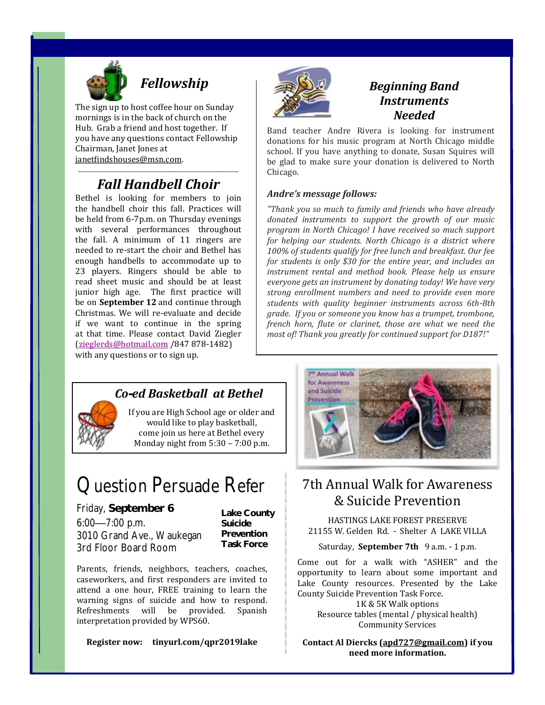

# *Fellowship*

The sign up to host coffee hour on Sunday mornings is in the back of church on the Hub. Grab a friend and host together. If you have any questions contact Fellowship Chairman, Janet Jones at janetfindshouses@msn.com.

#### \_\_\_\_\_\_\_\_\_\_\_\_\_\_\_\_\_\_\_\_\_\_\_\_\_\_\_\_\_\_\_\_\_\_\_\_\_\_\_\_\_\_\_\_\_\_\_\_\_\_\_\_\_\_\_\_\_\_\_\_\_ *Fall Handbell Choir*

Bethel is looking for members to join the handbell choir this fall. Practices will be held from 6-7p.m. on Thursday evenings with several performances throughout the fall. A minimum of 11 ringers are needed to re-start the choir and Bethel has enough handbells to accommodate up to 23 players. Ringers should be able to read sheet music and should be at least junior high age. The first practice will be on **September 12** and continue through Christmas. We will re-evaluate and decide if we want to continue in the spring at that time. Please contact David Ziegler ([zieglerds@hotmail.com](mailto:zieglerds@hotmail.com) /847 878-1482) with any questions or to sign up.



#### *Beginning Band Instruments Needed*

Band teacher Andre Rivera is looking for instrument donations for his music program at North Chicago middle school. If you have anything to donate, Susan Squires will be glad to make sure your donation is delivered to North Chicago.

#### *Andre's message follows:*

*"Thank you so much to family and friends who have already donated instruments to support the growth of our music program in North Chicago! I have received so much support for helping our students. North Chicago is a district where 100% of students qualify for free lunch and breakfast. Our fee for students is only \$30 for the entire year, and includes an instrument rental and method book. Please help us ensure everyone gets an instrument by donating today! We have very strong enrollment numbers and need to provide even more students with quality beginner instruments across 6th-8th grade. If you or someone you know has a trumpet, trombone, french horn, flute or clarinet, those are what we need the most of! Thank you greatly for continued support for D187!"*



#### *Co-ed Basketball at Bethel*

If you are High School age or older and would like to play basketball, come join us here at Bethel every Monday night from 5:30 – 7:00 p.m.

# Question Persuade Refer

Friday, **September 6** 6:00—7:00 p.m. 3010 Grand Ave., Waukegan 3rd Floor Board Room

**Lake County Suicide Prevention Task Force**

Parents, friends, neighbors, teachers, coaches, caseworkers, and first responders are invited to attend a one hour, FREE training to learn the warning signs of suicide and how to respond. Refreshments will be provided. Spanish interpretation provided by WPS60.

**Register now: tinyurl.com/qpr2019lake**



### 7th Annual Walk for Awareness & Suicide Prevention

HASTINGS LAKE FOREST PRESERVE 21155 W. Gelden Rd. - Shelter A LAKE VILLA

Saturday, **September 7th** 9 a.m. - 1 p.m.

Come out for a walk with "ASHER" and the opportunity to learn about some important and Lake County resources. Presented by the Lake County Suicide Prevention Task Force.

1K & 5K Walk options Resource tables (mental / physical health) Community Services

**Contact Al Diercks [\(apd727@gmail.com\)](mailto:apd727@gmail.com) if you need more information.**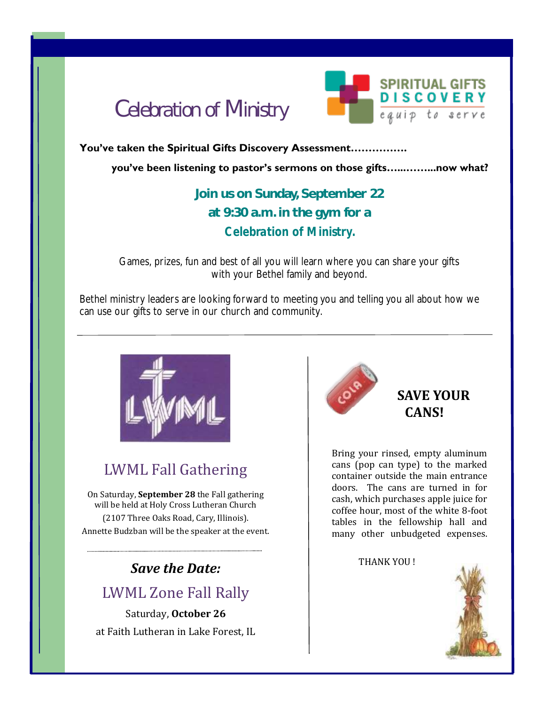



#### **You've taken the Spiritual Gifts Discovery Assessment…………….**

**you've been listening to pastor's sermons on those gifts…...……...now what?** 

### **Join us on Sunday, September 22 at 9:30 a.m. in the gym for a**  *Celebration of Ministry.*

Games, prizes, fun and best of all you will learn where you can share your gifts with your Bethel family and beyond.

Bethel ministry leaders are looking forward to meeting you and telling you all about how we can use our gifts to serve in our church and community.



# LWML Fall Gathering

On Saturday, **September 28** the Fall gathering will be held at Holy Cross Lutheran Church (2107 Three Oaks Road, Cary, Illinois). Annette Budzban will be the speaker at the event.

# *Save the Date:*

### LWML Zone Fall Rally

Saturday, **October 26** at Faith Lutheran in Lake Forest, IL



#### **SAVE YOUR CANS!**

Bring your rinsed, empty aluminum cans (pop can type) to the marked container outside the main entrance doors. The cans are turned in for cash, which purchases apple juice for coffee hour, most of the white 8-foot tables in the fellowship hall and many other unbudgeted expenses.

THANK YOU !

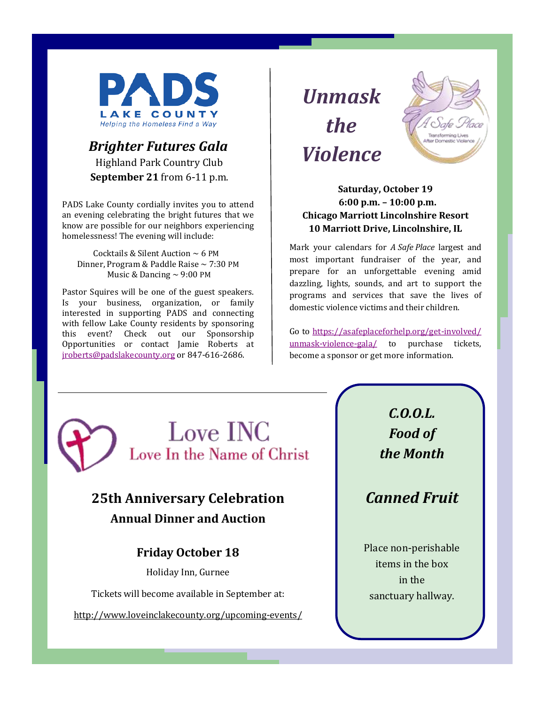

#### *Brighter Futures Gala* Highland Park Country Club **September 21** from 6-11 p.m.

PADS Lake County cordially invites you to attend an evening celebrating the bright futures that we know are possible for our neighbors experiencing homelessness! The evening will include:

Cocktails & Silent Auction  $\sim$  6 PM Dinner, Program & Paddle Raise ~ 7:30 PM Music & Dancing  $\sim$  9:00 PM

Pastor Squires will be one of the guest speakers. Is your business, organization, or family interested in supporting PADS and connecting with fellow Lake County residents by sponsoring this event? Check out our Sponsorship Opportunities or contact Jamie Roberts at [jroberts@padslakecounty.org](mailto:jroberts@padslakecounty.org) or 847-616-2686.

*Unmask the Violence* 



#### **Saturday, October 19 6:00 p.m. – 10:00 p.m. Chicago Marriott Lincolnshire Resort 10 Marriott Drive, Lincolnshire, IL**

Mark your calendars for *A Safe Place* largest and most important fundraiser of the year, and prepare for an unforgettable evening amid dazzling, lights, sounds, and art to support the programs and services that save the lives of domestic violence victims and their children.

Go to [https://asafeplaceforhelp.org/get-involved/](mailto:https://asafeplaceforhelp.org/get-involved/unmask-violence-gala/) [unmask-violence-gala/](mailto:https://asafeplaceforhelp.org/get-involved/unmask-violence-gala/) to purchase tickets, become a sponsor or get more information.



## **25th Anniversary Celebration Annual Dinner and Auction**

#### **Friday October 18**

Holiday Inn, Gurnee

Tickets will become available in September at:

<http://www.loveinclakecounty.org/upcoming-events/>

*C.O.O.L. Food of the Month* 

*Canned Fruit*

Place non-perishable items in the box in the sanctuary hallway.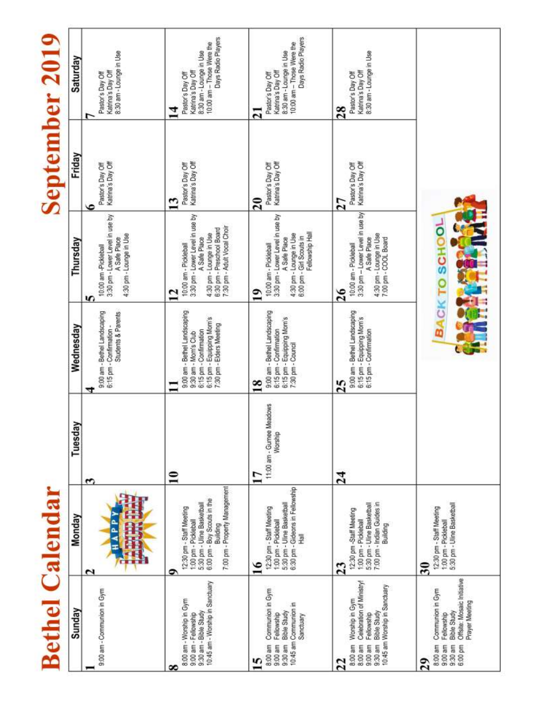| Saturday<br>Friday | 8:30 am - Lounge in Use<br>Katrina's Day Off<br>Pastor's Day Off<br>∼                                   | Days Radio Players<br>10:00 am - Those Were the<br>8:30 am - Lounge in Use<br>Katrina's Day Off<br>Pastor's Day Off<br>14                                             | Days Radio Players<br>10:00 am - Those Were the<br>8:30 am - Lounge in Use<br>Katrina's Day Off<br>Pastor's Day Off<br>$\overline{2}$                                 | Katrina's Day Off<br>8:30 am - Lounge in Use<br>Pastor's Day Off<br>28                                                                                              |                                                                                                                                                          |
|--------------------|---------------------------------------------------------------------------------------------------------|-----------------------------------------------------------------------------------------------------------------------------------------------------------------------|-----------------------------------------------------------------------------------------------------------------------------------------------------------------------|---------------------------------------------------------------------------------------------------------------------------------------------------------------------|----------------------------------------------------------------------------------------------------------------------------------------------------------|
|                    | Katrina's Day Off<br>Pastor's Day Off<br>ی                                                              | Katrina's Day Off<br>Pastor's Day Off<br>$\mathbf{13}$                                                                                                                | Pastor's Day Off<br>Katrina's Day Off<br>$\overline{20}$                                                                                                              | Katrina's Day Off<br>Pastor's Day Off<br>27                                                                                                                         |                                                                                                                                                          |
| Thursday           | 3:30 pm - Lower Level in use by<br>4:30 pm - Lounge in Use<br>A Safe Place<br>10:00 am -Pickleball<br>n | 3:30 pm - Lower Level in use by<br>6:30 pm - Preschool Board<br>7:30 pm - Adult Vocal Choir<br>4:30 pm - Lounge in Use<br>A Safe Place<br>10:00 am - Pickleball<br>12 | 3:30 pm - Lower Level in use by<br>Fellowship Hall<br>4:30 pm - Lounge in Use<br>6:00 pm - Girl Scouts in<br>A Safe Place<br>10:00 am - Pickleball<br>$\overline{19}$ | 3:30 pm - Lower Level in use by<br>4:30 pm - Lounge in Use<br>A Safe Place<br>7:00 pm - COOL Board<br>10:00 am - Pickleball<br>26                                   | <b>CK TO SCHOOL</b>                                                                                                                                      |
| Wednesday          | Students & Parents<br>9:00 am - Bethel Landscaping<br>6:15 pm - Confirmation -<br>₹                     | 9:00 am - Bethel Landscaping<br>6:15 pm - Equipping Mom's<br>7:30 pm - Elders Meeting<br>6:15 pm - Confirmation<br>9:30 am - Mom's Club                               | 9:00 am - Bethel Landscaping<br>6:15 pm - Equipping Mom's<br>6:15 pm - Confirmation<br>7:30 pm - Council<br>$\overline{18}$                                           | 9:00 am - Bethel Landscaping<br>6:15 pm - Equipping Mom's<br>6:15 pm - Confirmation<br>25                                                                           | m                                                                                                                                                        |
| Tuesday            | ొ                                                                                                       | $\mathbf{r}$                                                                                                                                                          | 11:00 am - Gumee Meadows<br>Worship<br>$\overline{17}$                                                                                                                | 24                                                                                                                                                                  |                                                                                                                                                          |
| Monday             | <b>CELL</b><br>$\mathbf{\tilde{c}}$                                                                     | 7:00 pm - Property Management<br>6:00 pm - Boy Scouts in the<br>5:30 pm - Uline Basketball<br>12:30 pm - Staff Meeting<br>1:00 pm - Pickleball<br>Building<br>۰       | 6:30 pm - Gideons in Fellowship<br>5:30 pm - Uline Basketball<br>12:30 pm - Staff Meeting<br>1:00 pm - Pickleball<br>量<br>$\overline{16}$                             | 5:30 pm - Uline Basketball<br>7:00 pm - Indian Guides in<br>12:30 pm -Staff Meeting<br>1:00 pm - Pickleball<br>Building<br>$\overline{23}$                          | 5:30 pm - Uline Basketball<br>12:30 pm - Staff Meeting<br>1:00 pm - Pickleball<br>$\overline{\mathbf{30}}$                                               |
| Sunday             | 9:00 am - Communion in Gym                                                                              | 10:45 am - Worship in Sanctuary<br>8:00 am - Worship in Gym<br>9:30 am - Bible Study<br>9:00 am - Fellowship<br>∞                                                     | Communion in Gym<br>10:45 am Communion in<br><b>Bible Study</b><br>Fellowship<br>Sanctuary<br>$9:30$ am<br>9:00 am<br>8:00 am<br>S                                    | Celebration of Ministry!<br>10:45 am Worship in Sanctuary<br>Worship in Gym<br><b>Bible Study</b><br>Fellowship<br>9:30 am<br>8:00 am<br>$9:00$ am<br>8:00 am<br>22 | Offsite: Mosaic Initiative<br>Communion in Gym<br>Prayer Meeting<br><b>Bible Study</b><br>Fellowship<br>9:30 am<br>8:00 am<br>$9.00$ am<br>6:00 pm<br>29 |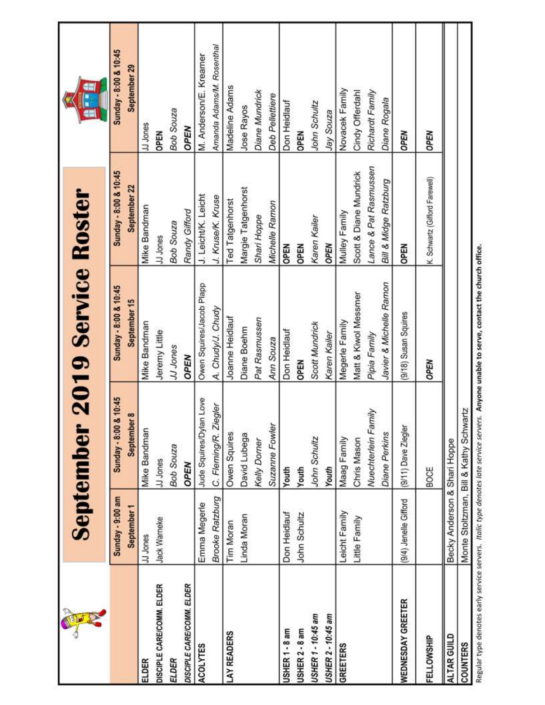| POPUS                     |                              | <b>September</b>                       | <b>2019 Service Roster</b> |                                |                           |
|---------------------------|------------------------------|----------------------------------------|----------------------------|--------------------------------|---------------------------|
|                           | Sunday - 9:00 am             | Sunday - 8:00 & 10:45                  | Sunday - 8:00 & 10:45      | Sunday - 8:00 & 10:45          | Sunday - 8:00 & 10:45     |
|                           | September 1                  | September 8                            | September 15               | September 22                   | September 29              |
| ELDER                     | JJ Jones                     | <b>Mike Bandman</b>                    | Mike Bandman               | Mike Bandman                   | JJ Jones                  |
| DISCIPLE CARE/COMM. ELDER | Jack Warneke                 | JJ Jones                               | Jeremy Little              | JJ Jones                       | OPEN                      |
| ELDER                     |                              | Bob Souza                              | JJ Jones                   | Bob Souza                      | Bob Souza                 |
| DISCIPLE CARE/COMM. ELDER |                              | OPEN                                   | OPEN                       | Randy Gifford                  | OPEN                      |
| <b>ACOLYTES</b>           | Emma Megerle                 | I Love<br>Jude Squires/Dylan           | Owen Squires/Jacob Plapp   | J. Leicht/K. Leicht            | M. Anderson/E. Kreamer    |
|                           | <b>Brooke Ratzburg</b>       | C. Fleming/R. Ziegler                  | A. Chudy/J. Chudy          | J. Kruse/K. Kruse              | Amanda Adams/M. Rosenthal |
| <b>LAY READERS</b>        | Tim Moran                    | Owen Squires                           | Joanne Heidlauf            | <b>Ted Tatgenhorst</b>         | Madeline Adams            |
|                           | Linda Moran                  | David Lubega                           | Diane Boehm                | Margie Tatgenhorst             | Jose Rayos                |
|                           |                              | <b>Kelly Dorner</b>                    | Pat Rasmussen              | Shari Hoppe                    | Diane Mundrick            |
|                           |                              | Suzanne Fowler                         | Ann Souza                  | Michelle Ramon                 | <b>Deb Pellettiere</b>    |
| USHER 1 - 8 am            | Don Heidlauf                 | Youth                                  | Don Heidlauf               | <b>OPEN</b>                    | Don Heidlauf              |
| USHER 2 - 8 am            | John Schultz                 | Youth                                  | OPEN                       | <b>OPEN</b>                    | OPEN                      |
| USHER 1 - 10:45 am        |                              | John Schultz                           | Scott Mundrick             | Karen Kailer                   | John Schultz              |
| USHER 2 - 10:45 am        |                              | Youth                                  | Karen Kailer               | OPEN                           | Jay Souza                 |
| GREETERS                  | Leicht Family                | Maag Family                            | Megerle Family             | Mulley Family                  | Novacek Family            |
|                           | Little Family                | Chris Mason                            | Matt & Kiwol Messmer       | Scott & Diane Mundrick         | Cindy Offerdahl           |
|                           |                              | Nuechterlein Family                    | Pipia Family               | Lance & Pat Rasmussen          | Richardt Family           |
|                           |                              | Diane Perkins                          | Javier & Michelle Ramon    | Bill & Midge Ratzburg          | Diane Rogala              |
| WEDNESDAY GREETER         | (9/4) Jenelle Gifford        | (9/11) Dave Ziegler                    | (9/18) Susan Squires       | <b>OPEN</b>                    | OPEN                      |
| FELLOWSHIP                |                              | BOCE                                   | OPEN                       | K. Schwartz (Gifford Farewell) | OPEN                      |
| ALTAR GUILD               | Becky Anderson & Shari Hoppe |                                        |                            |                                |                           |
| <b>COUNTERS</b>           |                              | Monte Stoltzman, Bill & Kathy Schwartz |                            |                                |                           |

Regular type denotes early service servers. Italic type denotes late service servers. Anyone unable to serve, contact the church office.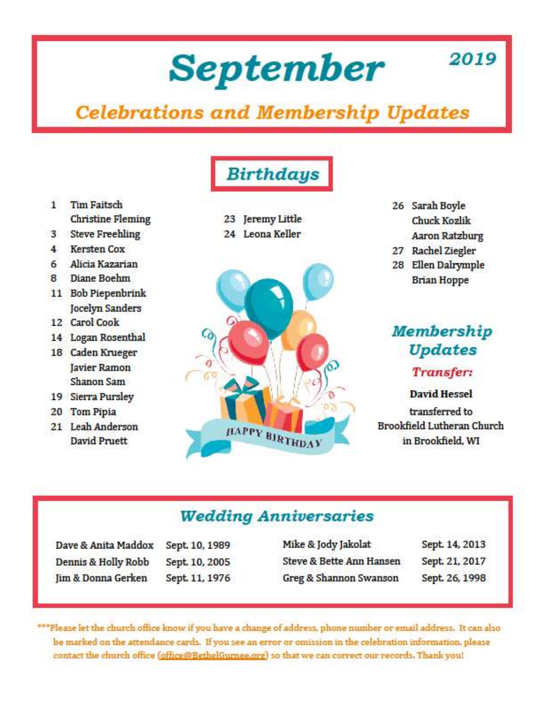# **September**

# **Celebrations and Membership Updates**

- $1$ **Tim Faitsch Christine Fleming**
- 3 Steve Freehling
- 4 Kersten Cox
- 6 Alicia Kazarian
- Diane Boehm  $\mathbf{R}$
- 11 Bob Piepenbrink Jocelyn Sanders
- 12 Carol Cook
- 14 Logan Rosenthal
- 18 Caden Krueger Javier Ramon Shanon Sam
- 19 Sierra Pursley
- 20 Tom Pipia
- 21 Leah Anderson David Pruett



**Birthdays** 

- 23 Jeremy Little
- 24 Leona Keller



26 Sarah Boyle **Chuck Kozlik Aaron Ratzburg** 

2019

- 27 Rachel Ziegler
- 28 Ellen Dalrymple **Brian Hoppe**

# **Membership** Updates

#### Transfer:

David Hessel

transferred to **Brookfield Lutheran Church** in Brookfield, WI

# **Wedding Anniversaries**

| Dave & Anita Maddox |
|---------------------|
| Dennis & Holly Robb |
| Jim & Donna Gerken  |

Sept. 10, 1989 Sept. 10, 2005 Sept. 11, 1976 Mike & Jody Jakolat Sept. 14, 2013 Steve & Bette Ann Hansen Sept. 21, 2017 Sept. 26, 1998 Greg & Shannon Swanson

\*\*\*Please let the church office know if you have a change of address, phone number or email address. It can also be marked on the attendance cards. If you see an error or omission in the celebration information, please contact the church office (office@BethelGurnee.org) so that we can correct our records. Thank you!